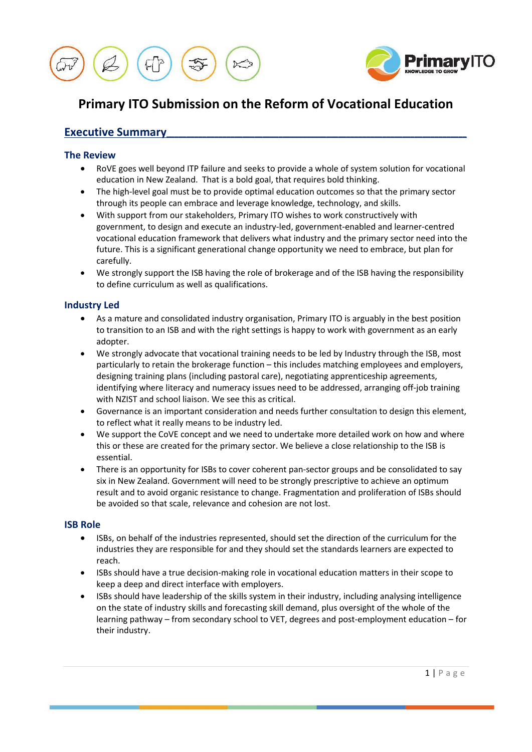



# **Primary ITO Submission on the Reform of Vocational Education**

# **Executive Summary**

## **The Review**

- RoVE goes well beyond ITP failure and seeks to provide a whole of system solution for vocational education in New Zealand. That is a bold goal, that requires bold thinking.
- The high-level goal must be to provide optimal education outcomes so that the primary sector through its people can embrace and leverage knowledge, technology, and skills.
- With support from our stakeholders, Primary ITO wishes to work constructively with government, to design and execute an industry-led, government-enabled and learner-centred vocational education framework that delivers what industry and the primary sector need into the future. This is a significant generational change opportunity we need to embrace, but plan for carefully.
- We strongly support the ISB having the role of brokerage and of the ISB having the responsibility to define curriculum as well as qualifications.

## **Industry Led**

- As a mature and consolidated industry organisation, Primary ITO is arguably in the best position to transition to an ISB and with the right settings is happy to work with government as an early adopter.
- We strongly advocate that vocational training needs to be led by Industry through the ISB, most particularly to retain the brokerage function – this includes matching employees and employers, designing training plans (including pastoral care), negotiating apprenticeship agreements, identifying where literacy and numeracy issues need to be addressed, arranging off-job training with NZIST and school liaison. We see this as critical.
- Governance is an important consideration and needs further consultation to design this element, to reflect what it really means to be industry led.
- We support the CoVE concept and we need to undertake more detailed work on how and where this or these are created for the primary sector. We believe a close relationship to the ISB is essential.
- There is an opportunity for ISBs to cover coherent pan-sector groups and be consolidated to say six in New Zealand. Government will need to be strongly prescriptive to achieve an optimum result and to avoid organic resistance to change. Fragmentation and proliferation of ISBs should be avoided so that scale, relevance and cohesion are not lost.

### **ISB Role**

- ISBs, on behalf of the industries represented, should set the direction of the curriculum for the industries they are responsible for and they should set the standards learners are expected to reach.
- ISBs should have a true decision-making role in vocational education matters in their scope to keep a deep and direct interface with employers.
- ISBs should have leadership of the skills system in their industry, including analysing intelligence on the state of industry skills and forecasting skill demand, plus oversight of the whole of the learning pathway – from secondary school to VET, degrees and post-employment education – for their industry.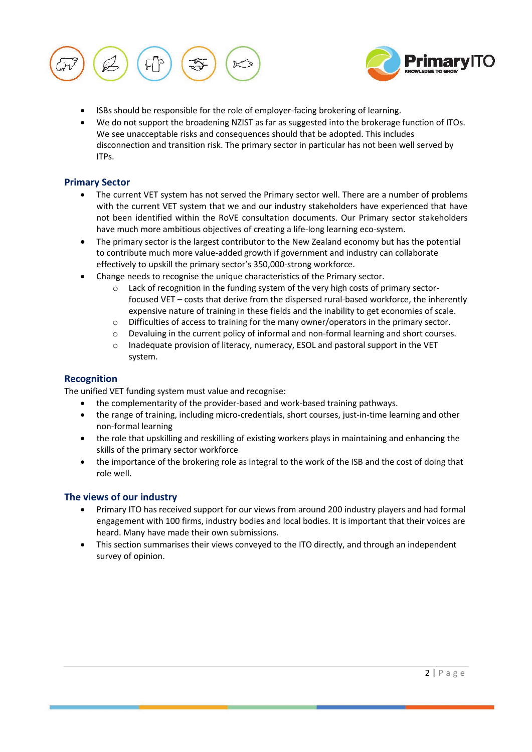



- ISBs should be responsible for the role of employer-facing brokering of learning.
- We do not support the broadening NZIST as far as suggested into the brokerage function of ITOs. We see unacceptable risks and consequences should that be adopted. This includes disconnection and transition risk. The primary sector in particular has not been well served by ITPs.

## **Primary Sector**

- The current VET system has not served the Primary sector well. There are a number of problems with the current VET system that we and our industry stakeholders have experienced that have not been identified within the RoVE consultation documents. Our Primary sector stakeholders have much more ambitious objectives of creating a life-long learning eco-system.
- The primary sector is the largest contributor to the New Zealand economy but has the potential to contribute much more value-added growth if government and industry can collaborate effectively to upskill the primary sector's 350,000-strong workforce.
- Change needs to recognise the unique characteristics of the Primary sector.
	- o Lack of recognition in the funding system of the very high costs of primary sectorfocused VET – costs that derive from the dispersed rural-based workforce, the inherently expensive nature of training in these fields and the inability to get economies of scale.
	- o Difficulties of access to training for the many owner/operators in the primary sector.
	- o Devaluing in the current policy of informal and non-formal learning and short courses.
	- Inadequate provision of literacy, numeracy, ESOL and pastoral support in the VET system.

## **Recognition**

The unified VET funding system must value and recognise:

- the complementarity of the provider-based and work-based training pathways.
- the range of training, including micro-credentials, short courses, just-in-time learning and other non-formal learning
- the role that upskilling and reskilling of existing workers plays in maintaining and enhancing the skills of the primary sector workforce
- the importance of the brokering role as integral to the work of the ISB and the cost of doing that role well.

## **The views of our industry**

- Primary ITO has received support for our views from around 200 industry players and had formal engagement with 100 firms, industry bodies and local bodies. It is important that their voices are heard. Many have made their own submissions.
- This section summarises their views conveyed to the ITO directly, and through an independent survey of opinion.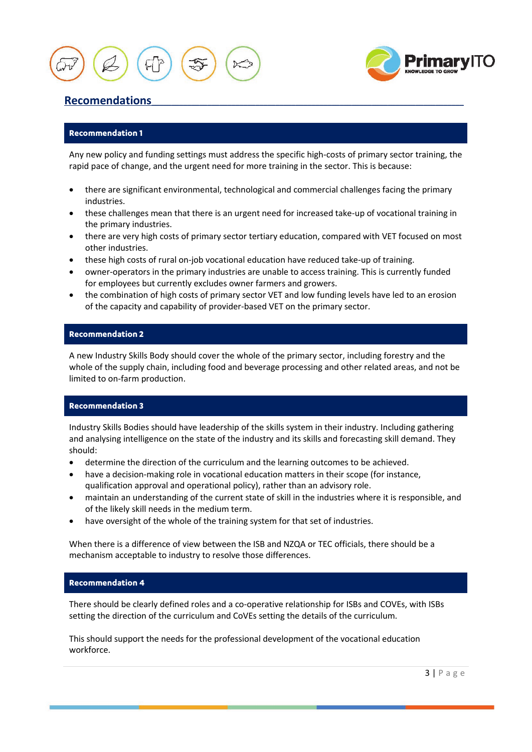

# Recomendations

## **Recommendation 1**

Any new policy and funding settings must address the specific high-costs of primary sector training, the rapid pace of change, and the urgent need for more training in the sector. This is because:

- there are significant environmental, technological and commercial challenges facing the primary industries.
- these challenges mean that there is an urgent need for increased take-up of vocational training in the primary industries.
- there are very high costs of primary sector tertiary education, compared with VET focused on most other industries.
- these high costs of rural on-job vocational education have reduced take-up of training.
- owner-operators in the primary industries are unable to access training. This is currently funded for employees but currently excludes owner farmers and growers.
- the combination of high costs of primary sector VET and low funding levels have led to an erosion of the capacity and capability of provider-based VET on the primary sector.

## **Recommendation 2**

A new Industry Skills Body should cover the whole of the primary sector, including forestry and the whole of the supply chain, including food and beverage processing and other related areas, and not be limited to on-farm production.

## **Recommendation 3**

Industry Skills Bodies should have leadership of the skills system in their industry. Including gathering and analysing intelligence on the state of the industry and its skills and forecasting skill demand. They should:

- determine the direction of the curriculum and the learning outcomes to be achieved.
- have a decision-making role in vocational education matters in their scope (for instance, qualification approval and operational policy), rather than an advisory role.
- maintain an understanding of the current state of skill in the industries where it is responsible, and of the likely skill needs in the medium term.
- have oversight of the whole of the training system for that set of industries.

When there is a difference of view between the ISB and NZQA or TEC officials, there should be a mechanism acceptable to industry to resolve those differences.

### **Recommendation 4**

There should be clearly defined roles and a co-operative relationship for ISBs and COVEs, with ISBs setting the direction of the curriculum and CoVEs setting the details of the curriculum.

This should support the needs for the professional development of the vocational education workforce.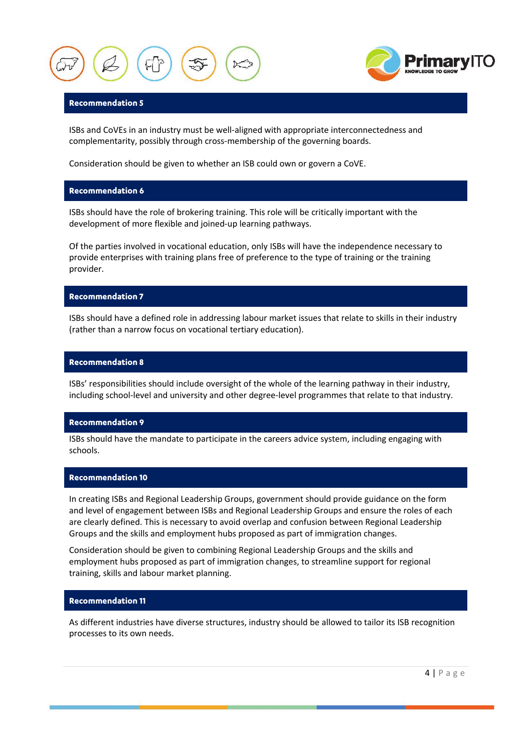



#### **Recommendation 5**

ISBs and CoVEs in an industry must be well-aligned with appropriate interconnectedness and complementarity, possibly through cross-membership of the governing boards.

Consideration should be given to whether an ISB could own or govern a CoVE.

#### **Recommendation 6**

ISBs should have the role of brokering training. This role will be critically important with the development of more flexible and joined-up learning pathways.

Of the parties involved in vocational education, only ISBs will have the independence necessary to provide enterprises with training plans free of preference to the type of training or the training provider.

#### **Recommendation 7**

ISBs should have a defined role in addressing labour market issues that relate to skills in their industry (rather than a narrow focus on vocational tertiary education).

#### **Recommendation 8**

ISBs' responsibilities should include oversight of the whole of the learning pathway in their industry, including school-level and university and other degree-level programmes that relate to that industry.

#### **Recommendation 9**

ISBs should have the mandate to participate in the careers advice system, including engaging with schools.

#### **Recommendation 10**

In creating ISBs and Regional Leadership Groups, government should provide guidance on the form and level of engagement between ISBs and Regional Leadership Groups and ensure the roles of each are clearly defined. This is necessary to avoid overlap and confusion between Regional Leadership Groups and the skills and employment hubs proposed as part of immigration changes.

Consideration should be given to combining Regional Leadership Groups and the skills and employment hubs proposed as part of immigration changes, to streamline support for regional training, skills and labour market planning.

#### **Recommendation 11**

As different industries have diverse structures, industry should be allowed to tailor its ISB recognition processes to its own needs.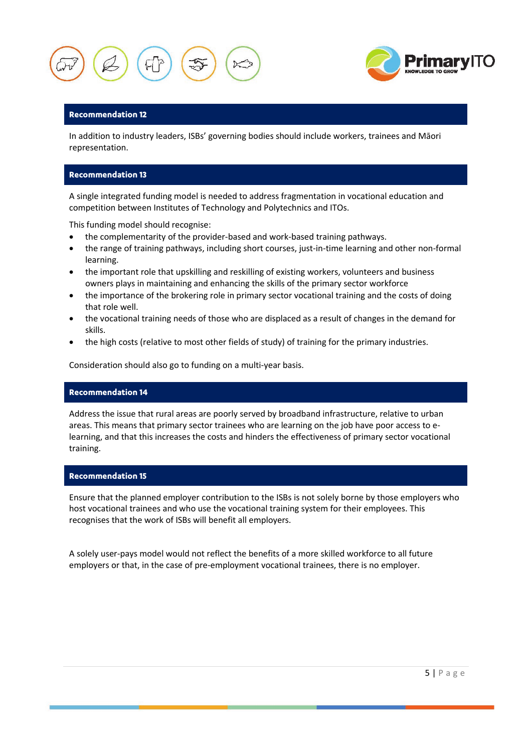



#### **Recommendation 12**

In addition to industry leaders, ISBs' governing bodies should include workers, trainees and Māori representation.

#### **Recommendation 13**

A single integrated funding model is needed to address fragmentation in vocational education and competition between Institutes of Technology and Polytechnics and ITOs.

This funding model should recognise:

- the complementarity of the provider-based and work-based training pathways.
- the range of training pathways, including short courses, just-in-time learning and other non-formal learning.
- the important role that upskilling and reskilling of existing workers, volunteers and business owners plays in maintaining and enhancing the skills of the primary sector workforce
- the importance of the brokering role in primary sector vocational training and the costs of doing that role well.
- the vocational training needs of those who are displaced as a result of changes in the demand for skills.
- the high costs (relative to most other fields of study) of training for the primary industries.

Consideration should also go to funding on a multi-year basis.

#### **Recommendation 14**

Address the issue that rural areas are poorly served by broadband infrastructure, relative to urban areas. This means that primary sector trainees who are learning on the job have poor access to elearning, and that this increases the costs and hinders the effectiveness of primary sector vocational training.

#### **Recommendation 15**

Ensure that the planned employer contribution to the ISBs is not solely borne by those employers who host vocational trainees and who use the vocational training system for their employees. This recognises that the work of ISBs will benefit all employers.

A solely user-pays model would not reflect the benefits of a more skilled workforce to all future employers or that, in the case of pre-employment vocational trainees, there is no employer.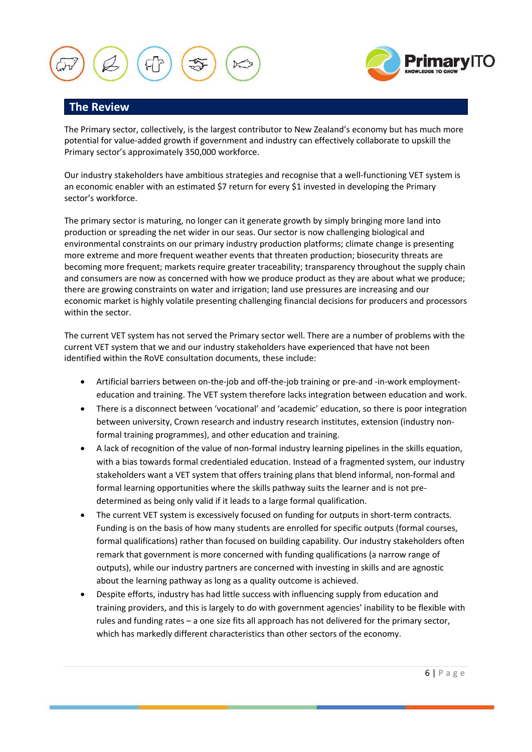

## **The Review**

The Primary sector, collectively, is the largest contributor to New Zealand's economy but has much more potential for value-added growth if government and industry can effectively collaborate to upskill the Primary sector's approximately 350,000 workforce.

Our industry stakeholders have ambitious strategies and recognise that a well-functioning VET system is an economic enabler with an estimated \$7 return for every \$1 invested in developing the Primary sector's workforce.

The primary sector is maturing, no longer can it generate growth by simply bringing more land into production or spreading the net wider in our seas. Our sector is now challenging biological and environmental constraints on our primary industry production platforms; climate change is presenting more extreme and more frequent weather events that threaten production; biosecurity threats are becoming more frequent; markets require greater traceability; transparency throughout the supply chain and consumers are now as concerned with how we produce product as they are about what we produce; there are growing constraints on water and irrigation; land use pressures are increasing and our economic market is highly volatile presenting challenging financial decisions for producers and processors within the sector.

The current VET system has not served the Primary sector well. There are a number of problems with the current VET system that we and our industry stakeholders have experienced that have not been identified within the RoVE consultation documents, these include:

- Artificial barriers between on-the-job and off-the-job training or pre-and -in-work employmenteducation and training. The VET system therefore lacks integration between education and work.
- There is a disconnect between 'vocational' and 'academic' education, so there is poor integration between university, Crown research and industry research institutes, extension (industry nonformal training programmes), and other education and training.
- A lack of recognition of the value of non-formal industry learning pipelines in the skills equation, with a bias towards formal credentialed education. Instead of a fragmented system, our industry stakeholders want a VET system that offers training plans that blend informal, non-formal and formal learning opportunities where the skills pathway suits the learner and is not predetermined as being only valid if it leads to a large formal qualification.
- The current VET system is excessively focused on funding for outputs in short-term contracts. Funding is on the basis of how many students are enrolled for specific outputs (formal courses, formal qualifications) rather than focused on building capability. Our industry stakeholders often remark that government is more concerned with funding qualifications (a narrow range of outputs), while our industry partners are concerned with investing in skills and are agnostic about the learning pathway as long as a quality outcome is achieved.
- Despite efforts, industry has had little success with influencing supply from education and training providers, and this is largely to do with government agencies' inability to be flexible with rules and funding rates – a one size fits all approach has not delivered for the primary sector, which has markedly different characteristics than other sectors of the economy.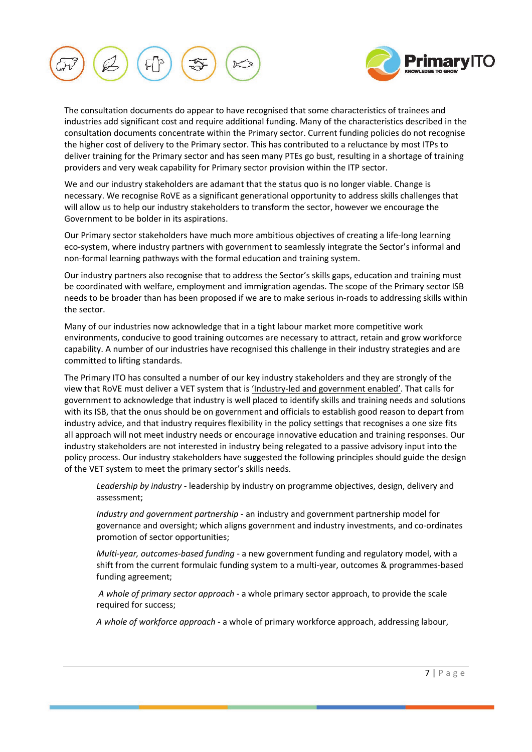



The consultation documents do appear to have recognised that some characteristics of trainees and industries add significant cost and require additional funding. Many of the characteristics described in the consultation documents concentrate within the Primary sector. Current funding policies do not recognise the higher cost of delivery to the Primary sector. This has contributed to a reluctance by most ITPs to deliver training for the Primary sector and has seen many PTEs go bust, resulting in a shortage of training providers and very weak capability for Primary sector provision within the ITP sector.

We and our industry stakeholders are adamant that the status quo is no longer viable. Change is necessary. We recognise RoVE as a significant generational opportunity to address skills challenges that will allow us to help our industry stakeholders to transform the sector, however we encourage the Government to be bolder in its aspirations.

Our Primary sector stakeholders have much more ambitious objectives of creating a life-long learning eco-system, where industry partners with government to seamlessly integrate the Sector's informal and non-formal learning pathways with the formal education and training system.

Our industry partners also recognise that to address the Sector's skills gaps, education and training must be coordinated with welfare, employment and immigration agendas. The scope of the Primary sector ISB needs to be broader than has been proposed if we are to make serious in-roads to addressing skills within the sector.

Many of our industries now acknowledge that in a tight labour market more competitive work environments, conducive to good training outcomes are necessary to attract, retain and grow workforce capability. A number of our industries have recognised this challenge in their industry strategies and are committed to lifting standards.

The Primary ITO has consulted a number of our key industry stakeholders and they are strongly of the view that RoVE must deliver a VET system that is 'Industry-led and government enabled'. That calls for government to acknowledge that industry is well placed to identify skills and training needs and solutions with its ISB, that the onus should be on government and officials to establish good reason to depart from industry advice, and that industry requires flexibility in the policy settings that recognises a one size fits all approach will not meet industry needs or encourage innovative education and training responses. Our industry stakeholders are not interested in industry being relegated to a passive advisory input into the policy process. Our industry stakeholders have suggested the following principles should guide the design of the VET system to meet the primary sector's skills needs.

*Leadership by industry* - leadership by industry on programme objectives, design, delivery and assessment;

*Industry and government partnership* - an industry and government partnership model for governance and oversight; which aligns government and industry investments, and co-ordinates promotion of sector opportunities;

*Multi-year, outcomes-based funding* - a new government funding and regulatory model, with a shift from the current formulaic funding system to a multi-year, outcomes & programmes-based funding agreement;

*A whole of primary sector approach* - a whole primary sector approach, to provide the scale required for success;

*A whole of workforce approach* - a whole of primary workforce approach, addressing labour,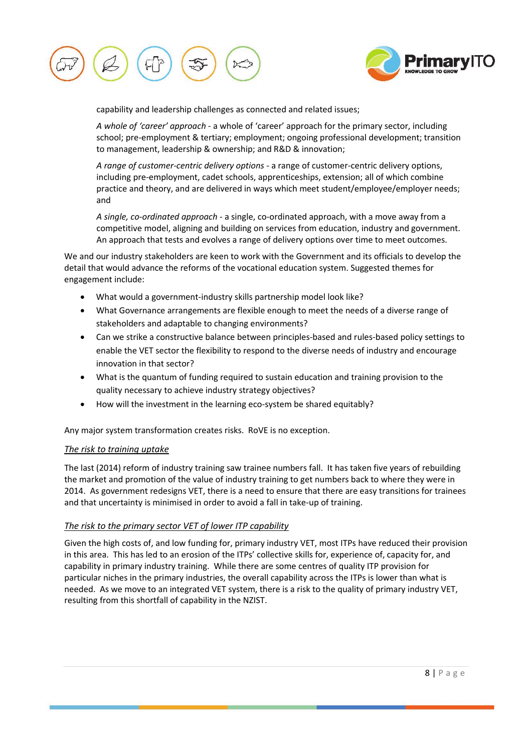



capability and leadership challenges as connected and related issues;

*A whole of 'career' approach* - a whole of 'career' approach for the primary sector, including school; pre-employment & tertiary; employment; ongoing professional development; transition to management, leadership & ownership; and R&D & innovation;

*A range of customer-centric delivery options* - a range of customer-centric delivery options, including pre-employment, cadet schools, apprenticeships, extension; all of which combine practice and theory, and are delivered in ways which meet student/employee/employer needs; and

*A single, co-ordinated approach* - a single, co-ordinated approach, with a move away from a competitive model, aligning and building on services from education, industry and government. An approach that tests and evolves a range of delivery options over time to meet outcomes.

We and our industry stakeholders are keen to work with the Government and its officials to develop the detail that would advance the reforms of the vocational education system. Suggested themes for engagement include:

- What would a government-industry skills partnership model look like?
- What Governance arrangements are flexible enough to meet the needs of a diverse range of stakeholders and adaptable to changing environments?
- Can we strike a constructive balance between principles-based and rules-based policy settings to enable the VET sector the flexibility to respond to the diverse needs of industry and encourage innovation in that sector?
- What is the quantum of funding required to sustain education and training provision to the quality necessary to achieve industry strategy objectives?
- How will the investment in the learning eco-system be shared equitably?

Any major system transformation creates risks. RoVE is no exception.

#### *The risk to training uptake*

The last (2014) reform of industry training saw trainee numbers fall. It has taken five years of rebuilding the market and promotion of the value of industry training to get numbers back to where they were in 2014. As government redesigns VET, there is a need to ensure that there are easy transitions for trainees and that uncertainty is minimised in order to avoid a fall in take-up of training.

#### *The risk to the primary sector VET of lower ITP capability*

Given the high costs of, and low funding for, primary industry VET, most ITPs have reduced their provision in this area. This has led to an erosion of the ITPs' collective skills for, experience of, capacity for, and capability in primary industry training. While there are some centres of quality ITP provision for particular niches in the primary industries, the overall capability across the ITPs is lower than what is needed. As we move to an integrated VET system, there is a risk to the quality of primary industry VET, resulting from this shortfall of capability in the NZIST.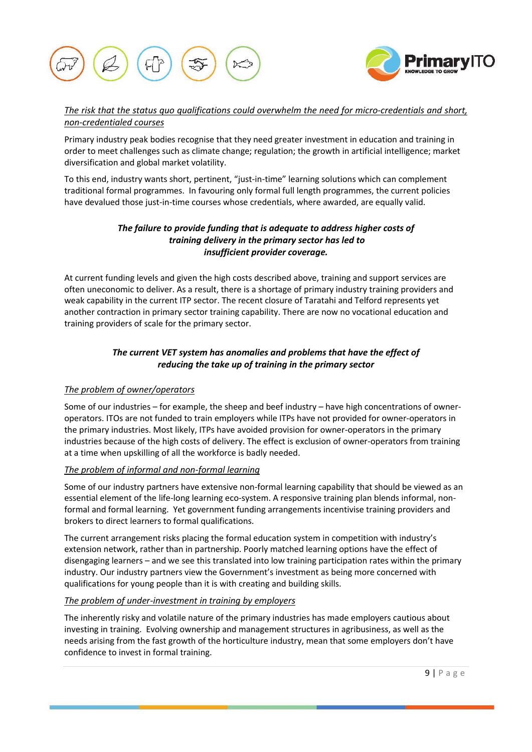



## *The risk that the status quo qualifications could overwhelm the need for micro-credentials and short, non-credentialed courses*

Primary industry peak bodies recognise that they need greater investment in education and training in order to meet challenges such as climate change; regulation; the growth in artificial intelligence; market diversification and global market volatility.

To this end, industry wants short, pertinent, "just-in-time" learning solutions which can complement traditional formal programmes. In favouring only formal full length programmes, the current policies have devalued those just-in-time courses whose credentials, where awarded, are equally valid.

## *The failure to provide funding that is adequate to address higher costs of training delivery in the primary sector has led to insufficient provider coverage.*

At current funding levels and given the high costs described above, training and support services are often uneconomic to deliver. As a result, there is a shortage of primary industry training providers and weak capability in the current ITP sector. The recent closure of Taratahi and Telford represents yet another contraction in primary sector training capability. There are now no vocational education and training providers of scale for the primary sector.

## *The current VET system has anomalies and problems that have the effect of reducing the take up of training in the primary sector*

## *The problem of owner/operators*

Some of our industries – for example, the sheep and beef industry – have high concentrations of owneroperators. ITOs are not funded to train employers while ITPs have not provided for owner-operators in the primary industries. Most likely, ITPs have avoided provision for owner-operators in the primary industries because of the high costs of delivery. The effect is exclusion of owner-operators from training at a time when upskilling of all the workforce is badly needed.

## *The problem of informal and non-formal learning*

Some of our industry partners have extensive non-formal learning capability that should be viewed as an essential element of the life-long learning eco-system. A responsive training plan blends informal, nonformal and formal learning. Yet government funding arrangements incentivise training providers and brokers to direct learners to formal qualifications.

The current arrangement risks placing the formal education system in competition with industry's extension network, rather than in partnership. Poorly matched learning options have the effect of disengaging learners – and we see this translated into low training participation rates within the primary industry. Our industry partners view the Government's investment as being more concerned with qualifications for young people than it is with creating and building skills.

## *The problem of under-investment in training by employers*

The inherently risky and volatile nature of the primary industries has made employers cautious about investing in training. Evolving ownership and management structures in agribusiness, as well as the needs arising from the fast growth of the horticulture industry, mean that some employers don't have confidence to invest in formal training.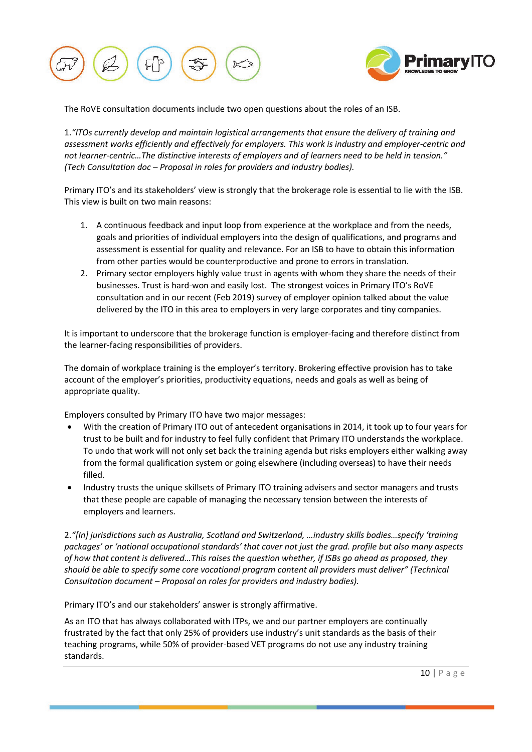



The RoVE consultation documents include two open questions about the roles of an ISB.

1.*"ITOs currently develop and maintain logistical arrangements that ensure the delivery of training and assessment works efficiently and effectively for employers. This work is industry and employer-centric and not learner-centric…The distinctive interests of employers and of learners need to be held in tension." (Tech Consultation doc – Proposal in roles for providers and industry bodies).*

Primary ITO's and its stakeholders' view is strongly that the brokerage role is essential to lie with the ISB. This view is built on two main reasons:

- 1. A continuous feedback and input loop from experience at the workplace and from the needs, goals and priorities of individual employers into the design of qualifications, and programs and assessment is essential for quality and relevance. For an ISB to have to obtain this information from other parties would be counterproductive and prone to errors in translation.
- 2. Primary sector employers highly value trust in agents with whom they share the needs of their businesses. Trust is hard-won and easily lost. The strongest voices in Primary ITO's RoVE consultation and in our recent (Feb 2019) survey of employer opinion talked about the value delivered by the ITO in this area to employers in very large corporates and tiny companies.

It is important to underscore that the brokerage function is employer-facing and therefore distinct from the learner-facing responsibilities of providers.

The domain of workplace training is the employer's territory. Brokering effective provision has to take account of the employer's priorities, productivity equations, needs and goals as well as being of appropriate quality.

Employers consulted by Primary ITO have two major messages:

- With the creation of Primary ITO out of antecedent organisations in 2014, it took up to four years for trust to be built and for industry to feel fully confident that Primary ITO understands the workplace. To undo that work will not only set back the training agenda but risks employers either walking away from the formal qualification system or going elsewhere (including overseas) to have their needs filled.
- Industry trusts the unique skillsets of Primary ITO training advisers and sector managers and trusts that these people are capable of managing the necessary tension between the interests of employers and learners.

2.*"[In] jurisdictions such as Australia, Scotland and Switzerland, …industry skills bodies…specify 'training packages' or 'national occupational standards' that cover not just the grad. profile but also many aspects of how that content is delivered…This raises the question whether, if ISBs go ahead as proposed, they should be able to specify some core vocational program content all providers must deliver" (Technical Consultation document – Proposal on roles for providers and industry bodies).*

Primary ITO's and our stakeholders' answer is strongly affirmative.

As an ITO that has always collaborated with ITPs, we and our partner employers are continually frustrated by the fact that only 25% of providers use industry's unit standards as the basis of their teaching programs, while 50% of provider-based VET programs do not use any industry training standards.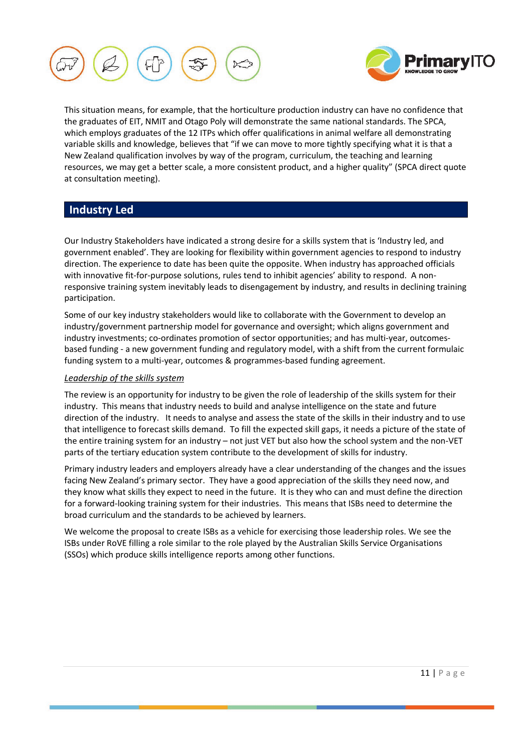



This situation means, for example, that the horticulture production industry can have no confidence that the graduates of EIT, NMIT and Otago Poly will demonstrate the same national standards. The SPCA, which employs graduates of the 12 ITPs which offer qualifications in animal welfare all demonstrating variable skills and knowledge, believes that "if we can move to more tightly specifying what it is that a New Zealand qualification involves by way of the program, curriculum, the teaching and learning resources, we may get a better scale, a more consistent product, and a higher quality" (SPCA direct quote at consultation meeting).

## **Industry Led**

Our Industry Stakeholders have indicated a strong desire for a skills system that is 'Industry led, and government enabled'. They are looking for flexibility within government agencies to respond to industry direction. The experience to date has been quite the opposite. When industry has approached officials with innovative fit-for-purpose solutions, rules tend to inhibit agencies' ability to respond. A nonresponsive training system inevitably leads to disengagement by industry, and results in declining training participation.

Some of our key industry stakeholders would like to collaborate with the Government to develop an industry/government partnership model for governance and oversight; which aligns government and industry investments; co-ordinates promotion of sector opportunities; and has multi-year, outcomesbased funding - a new government funding and regulatory model, with a shift from the current formulaic funding system to a multi-year, outcomes & programmes-based funding agreement.

### *Leadership of the skills system*

The review is an opportunity for industry to be given the role of leadership of the skills system for their industry. This means that industry needs to build and analyse intelligence on the state and future direction of the industry. It needs to analyse and assess the state of the skills in their industry and to use that intelligence to forecast skills demand. To fill the expected skill gaps, it needs a picture of the state of the entire training system for an industry – not just VET but also how the school system and the non-VET parts of the tertiary education system contribute to the development of skills for industry.

Primary industry leaders and employers already have a clear understanding of the changes and the issues facing New Zealand's primary sector. They have a good appreciation of the skills they need now, and they know what skills they expect to need in the future. It is they who can and must define the direction for a forward-looking training system for their industries. This means that ISBs need to determine the broad curriculum and the standards to be achieved by learners.

We welcome the proposal to create ISBs as a vehicle for exercising those leadership roles. We see the ISBs under RoVE filling a role similar to the role played by the Australian Skills Service Organisations (SSOs) which produce skills intelligence reports among other functions.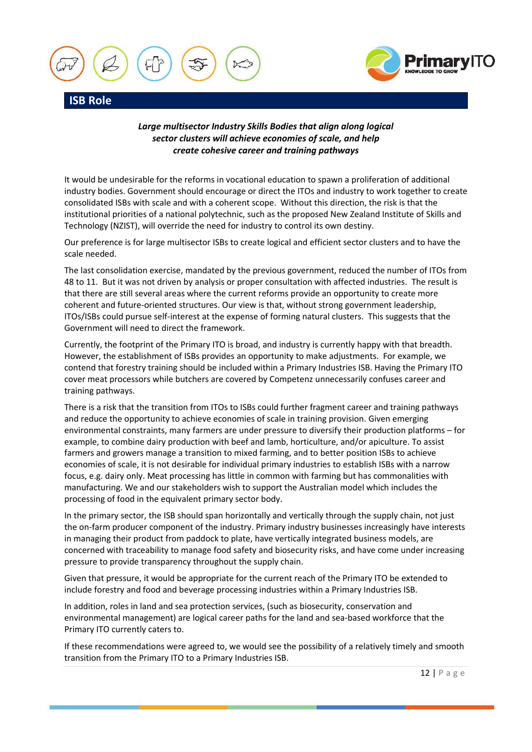



*Large multisector Industry Skills Bodies that align along logical sector clusters will achieve economies of scale, and help create cohesive career and training pathways*

It would be undesirable for the reforms in vocational education to spawn a proliferation of additional industry bodies. Government should encourage or direct the ITOs and industry to work together to create consolidated ISBs with scale and with a coherent scope. Without this direction, the risk is that the institutional priorities of a national polytechnic, such as the proposed New Zealand Institute of Skills and Technology (NZIST), will override the need for industry to control its own destiny.

Our preference is for large multisector ISBs to create logical and efficient sector clusters and to have the scale needed.

The last consolidation exercise, mandated by the previous government, reduced the number of ITOs from 48 to 11. But it was not driven by analysis or proper consultation with affected industries. The result is that there are still several areas where the current reforms provide an opportunity to create more coherent and future-oriented structures. Our view is that, without strong government leadership, ITOs/ISBs could pursue self-interest at the expense of forming natural clusters. This suggests that the Government will need to direct the framework.

Currently, the footprint of the Primary ITO is broad, and industry is currently happy with that breadth. However, the establishment of ISBs provides an opportunity to make adjustments. For example, we contend that forestry training should be included within a Primary Industries ISB. Having the Primary ITO cover meat processors while butchers are covered by Competenz unnecessarily confuses career and training pathways.

There is a risk that the transition from ITOs to ISBs could further fragment career and training pathways and reduce the opportunity to achieve economies of scale in training provision. Given emerging environmental constraints, many farmers are under pressure to diversify their production platforms – for example, to combine dairy production with beef and lamb, horticulture, and/or apiculture. To assist farmers and growers manage a transition to mixed farming, and to better position ISBs to achieve economies of scale, it is not desirable for individual primary industries to establish ISBs with a narrow focus, e.g. dairy only. Meat processing has little in common with farming but has commonalities with manufacturing. We and our stakeholders wish to support the Australian model which includes the processing of food in the equivalent primary sector body.

In the primary sector, the ISB should span horizontally and vertically through the supply chain, not just the on-farm producer component of the industry. Primary industry businesses increasingly have interests in managing their product from paddock to plate, have vertically integrated business models, are concerned with traceability to manage food safety and biosecurity risks, and have come under increasing pressure to provide transparency throughout the supply chain.

Given that pressure, it would be appropriate for the current reach of the Primary ITO be extended to include forestry and food and beverage processing industries within a Primary Industries ISB.

In addition, roles in land and sea protection services, (such as biosecurity, conservation and environmental management) are logical career paths for the land and sea-based workforce that the Primary ITO currently caters to.

If these recommendations were agreed to, we would see the possibility of a relatively timely and smooth transition from the Primary ITO to a Primary Industries ISB.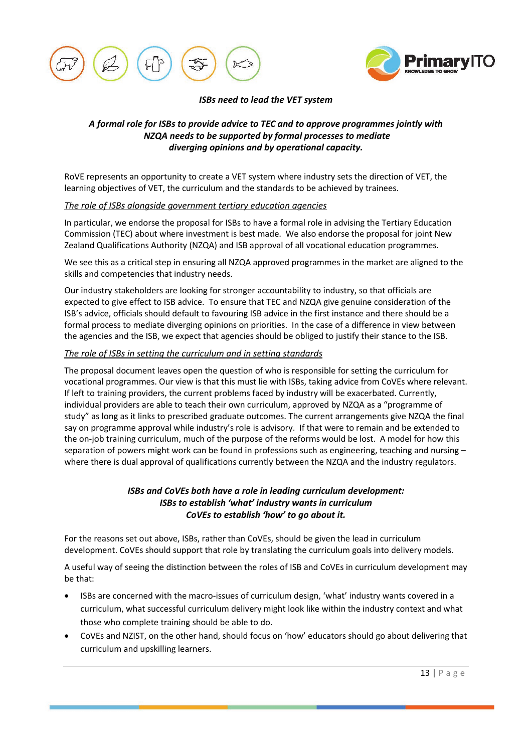



#### *ISBs need to lead the VET system*

## *A formal role for ISBs to provide advice to TEC and to approve programmes jointly with NZQA needs to be supported by formal processes to mediate diverging opinions and by operational capacity.*

RoVE represents an opportunity to create a VET system where industry sets the direction of VET, the learning objectives of VET, the curriculum and the standards to be achieved by trainees.

#### *The role of ISBs alongside government tertiary education agencies*

In particular, we endorse the proposal for ISBs to have a formal role in advising the Tertiary Education Commission (TEC) about where investment is best made. We also endorse the proposal for joint New Zealand Qualifications Authority (NZQA) and ISB approval of all vocational education programmes.

We see this as a critical step in ensuring all NZQA approved programmes in the market are aligned to the skills and competencies that industry needs.

Our industry stakeholders are looking for stronger accountability to industry, so that officials are expected to give effect to ISB advice. To ensure that TEC and NZQA give genuine consideration of the ISB's advice, officials should default to favouring ISB advice in the first instance and there should be a formal process to mediate diverging opinions on priorities. In the case of a difference in view between the agencies and the ISB, we expect that agencies should be obliged to justify their stance to the ISB.

#### *The role of ISBs in setting the curriculum and in setting standards*

The proposal document leaves open the question of who is responsible for setting the curriculum for vocational programmes. Our view is that this must lie with ISBs, taking advice from CoVEs where relevant. If left to training providers, the current problems faced by industry will be exacerbated. Currently, individual providers are able to teach their own curriculum, approved by NZQA as a "programme of study" as long as it links to prescribed graduate outcomes. The current arrangements give NZQA the final say on programme approval while industry's role is advisory. If that were to remain and be extended to the on-job training curriculum, much of the purpose of the reforms would be lost. A model for how this separation of powers might work can be found in professions such as engineering, teaching and nursing – where there is dual approval of qualifications currently between the NZQA and the industry regulators.

## *ISBs and CoVEs both have a role in leading curriculum development: ISBs to establish 'what' industry wants in curriculum CoVEs to establish 'how' to go about it.*

For the reasons set out above, ISBs, rather than CoVEs, should be given the lead in curriculum development. CoVEs should support that role by translating the curriculum goals into delivery models.

A useful way of seeing the distinction between the roles of ISB and CoVEs in curriculum development may be that:

- ISBs are concerned with the macro-issues of curriculum design, 'what' industry wants covered in a curriculum, what successful curriculum delivery might look like within the industry context and what those who complete training should be able to do.
- CoVEs and NZIST, on the other hand, should focus on 'how' educators should go about delivering that curriculum and upskilling learners.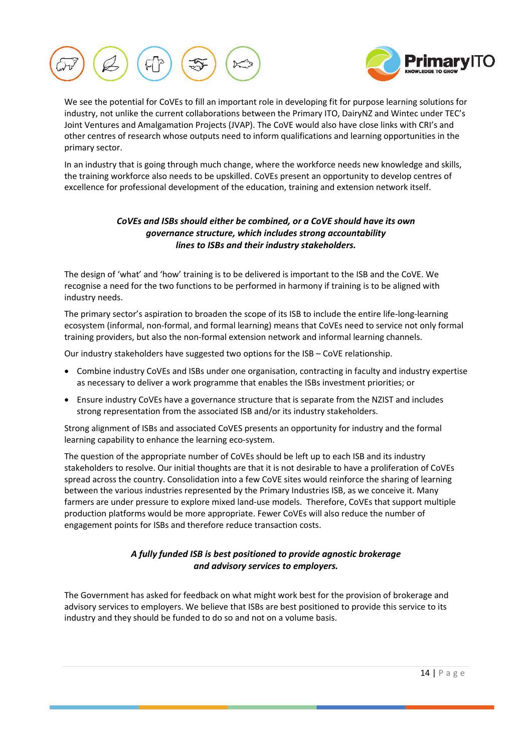



We see the potential for CoVEs to fill an important role in developing fit for purpose learning solutions for industry, not unlike the current collaborations between the Primary ITO, DairyNZ and Wintec under TEC's Joint Ventures and Amalgamation Projects (JVAP). The CoVE would also have close links with CRI's and other centres of research whose outputs need to inform qualifications and learning opportunities in the primary sector.

In an industry that is going through much change, where the workforce needs new knowledge and skills, the training workforce also needs to be upskilled. CoVEs present an opportunity to develop centres of excellence for professional development of the education, training and extension network itself.

## *CoVEs and ISBs should either be combined, or a CoVE should have its own governance structure, which includes strong accountability lines to ISBs and their industry stakeholders.*

The design of 'what' and 'how' training is to be delivered is important to the ISB and the CoVE. We recognise a need for the two functions to be performed in harmony if training is to be aligned with industry needs.

The primary sector's aspiration to broaden the scope of its ISB to include the entire life-long-learning ecosystem (informal, non-formal, and formal learning) means that CoVEs need to service not only formal training providers, but also the non-formal extension network and informal learning channels.

Our industry stakeholders have suggested two options for the ISB – CoVE relationship.

- Combine industry CoVEs and ISBs under one organisation, contracting in faculty and industry expertise as necessary to deliver a work programme that enables the ISBs investment priorities; or
- Ensure industry CoVEs have a governance structure that is separate from the NZIST and includes strong representation from the associated ISB and/or its industry stakeholders.

Strong alignment of ISBs and associated CoVES presents an opportunity for industry and the formal learning capability to enhance the learning eco-system.

The question of the appropriate number of CoVEs should be left up to each ISB and its industry stakeholders to resolve. Our initial thoughts are that it is not desirable to have a proliferation of CoVEs spread across the country. Consolidation into a few CoVE sites would reinforce the sharing of learning between the various industries represented by the Primary Industries ISB, as we conceive it. Many farmers are under pressure to explore mixed land-use models. Therefore, CoVEs that support multiple production platforms would be more appropriate. Fewer CoVEs will also reduce the number of engagement points for ISBs and therefore reduce transaction costs.

## *A fully funded ISB is best positioned to provide agnostic brokerage and advisory services to employers.*

The Government has asked for feedback on what might work best for the provision of brokerage and advisory services to employers. We believe that ISBs are best positioned to provide this service to its industry and they should be funded to do so and not on a volume basis.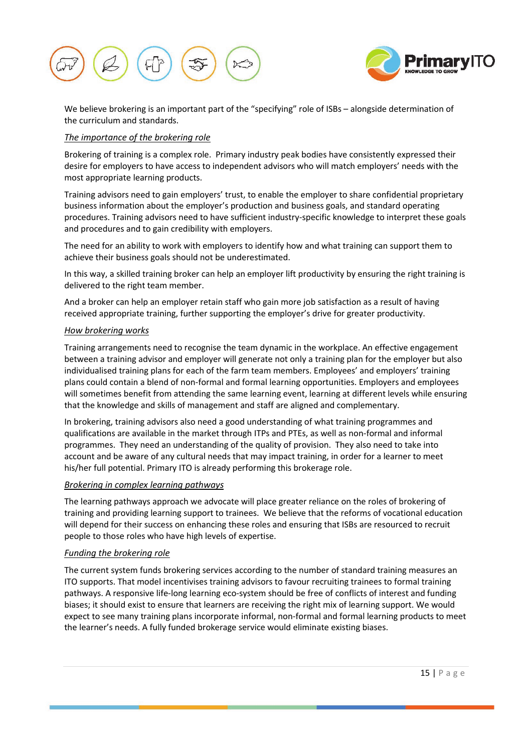



We believe brokering is an important part of the "specifying" role of ISBs – alongside determination of the curriculum and standards.

### *The importance of the brokering role*

Brokering of training is a complex role. Primary industry peak bodies have consistently expressed their desire for employers to have access to independent advisors who will match employers' needs with the most appropriate learning products.

Training advisors need to gain employers' trust, to enable the employer to share confidential proprietary business information about the employer's production and business goals, and standard operating procedures. Training advisors need to have sufficient industry-specific knowledge to interpret these goals and procedures and to gain credibility with employers.

The need for an ability to work with employers to identify how and what training can support them to achieve their business goals should not be underestimated.

In this way, a skilled training broker can help an employer lift productivity by ensuring the right training is delivered to the right team member.

And a broker can help an employer retain staff who gain more job satisfaction as a result of having received appropriate training, further supporting the employer's drive for greater productivity.

### *How brokering works*

Training arrangements need to recognise the team dynamic in the workplace. An effective engagement between a training advisor and employer will generate not only a training plan for the employer but also individualised training plans for each of the farm team members. Employees' and employers' training plans could contain a blend of non-formal and formal learning opportunities. Employers and employees will sometimes benefit from attending the same learning event, learning at different levels while ensuring that the knowledge and skills of management and staff are aligned and complementary.

In brokering, training advisors also need a good understanding of what training programmes and qualifications are available in the market through ITPs and PTEs, as well as non-formal and informal programmes. They need an understanding of the quality of provision. They also need to take into account and be aware of any cultural needs that may impact training, in order for a learner to meet his/her full potential. Primary ITO is already performing this brokerage role.

### *Brokering in complex learning pathways*

The learning pathways approach we advocate will place greater reliance on the roles of brokering of training and providing learning support to trainees. We believe that the reforms of vocational education will depend for their success on enhancing these roles and ensuring that ISBs are resourced to recruit people to those roles who have high levels of expertise.

### *Funding the brokering role*

The current system funds brokering services according to the number of standard training measures an ITO supports. That model incentivises training advisors to favour recruiting trainees to formal training pathways. A responsive life-long learning eco-system should be free of conflicts of interest and funding biases; it should exist to ensure that learners are receiving the right mix of learning support. We would expect to see many training plans incorporate informal, non-formal and formal learning products to meet the learner's needs. A fully funded brokerage service would eliminate existing biases.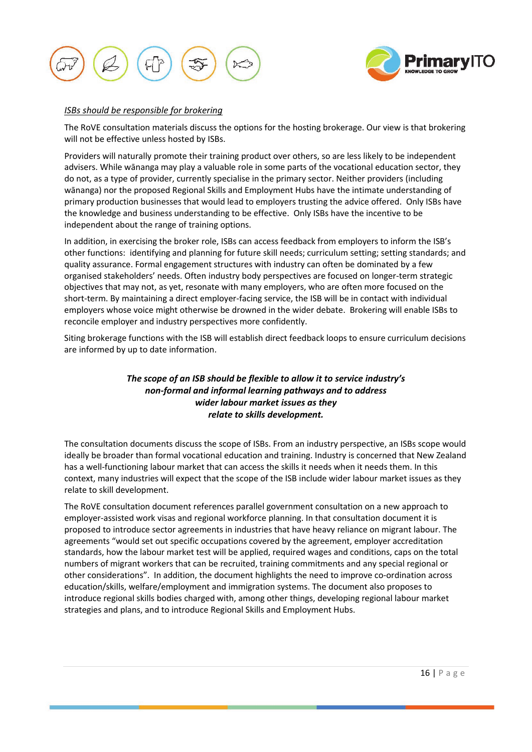



#### *ISBs should be responsible for brokering*

The RoVE consultation materials discuss the options for the hosting brokerage. Our view is that brokering will not be effective unless hosted by ISBs.

Providers will naturally promote their training product over others, so are less likely to be independent advisers. While wānanga may play a valuable role in some parts of the vocational education sector, they do not, as a type of provider, currently specialise in the primary sector. Neither providers (including wānanga) nor the proposed Regional Skills and Employment Hubs have the intimate understanding of primary production businesses that would lead to employers trusting the advice offered. Only ISBs have the knowledge and business understanding to be effective. Only ISBs have the incentive to be independent about the range of training options.

In addition, in exercising the broker role, ISBs can access feedback from employers to inform the ISB's other functions: identifying and planning for future skill needs; curriculum setting; setting standards; and quality assurance. Formal engagement structures with industry can often be dominated by a few organised stakeholders' needs. Often industry body perspectives are focused on longer-term strategic objectives that may not, as yet, resonate with many employers, who are often more focused on the short-term. By maintaining a direct employer-facing service, the ISB will be in contact with individual employers whose voice might otherwise be drowned in the wider debate. Brokering will enable ISBs to reconcile employer and industry perspectives more confidently.

Siting brokerage functions with the ISB will establish direct feedback loops to ensure curriculum decisions are informed by up to date information.

## *The scope of an ISB should be flexible to allow it to service industry's non-formal and informal learning pathways and to address wider labour market issues as they relate to skills development.*

The consultation documents discuss the scope of ISBs. From an industry perspective, an ISBs scope would ideally be broader than formal vocational education and training. Industry is concerned that New Zealand has a well-functioning labour market that can access the skills it needs when it needs them. In this context, many industries will expect that the scope of the ISB include wider labour market issues as they relate to skill development.

The RoVE consultation document references parallel government consultation on a new approach to employer-assisted work visas and regional workforce planning. In that consultation document it is proposed to introduce sector agreements in industries that have heavy reliance on migrant labour. The agreements "would set out specific occupations covered by the agreement, employer accreditation standards, how the labour market test will be applied, required wages and conditions, caps on the total numbers of migrant workers that can be recruited, training commitments and any special regional or other considerations". In addition, the document highlights the need to improve co-ordination across education/skills, welfare/employment and immigration systems. The document also proposes to introduce regional skills bodies charged with, among other things, developing regional labour market strategies and plans, and to introduce Regional Skills and Employment Hubs.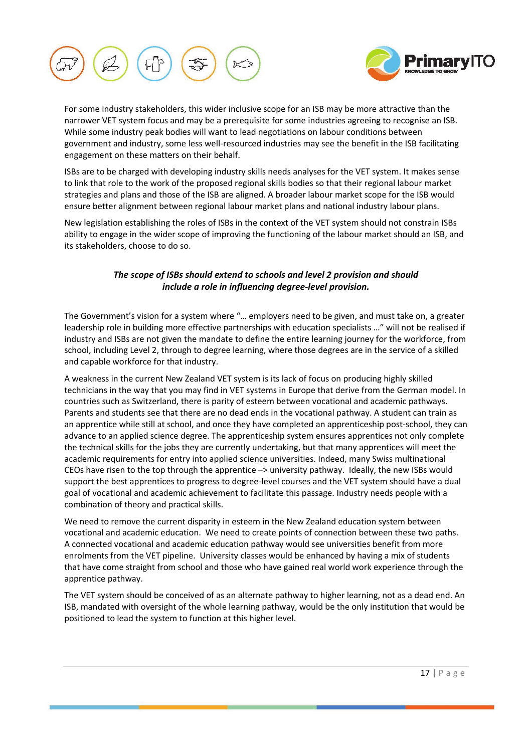



For some industry stakeholders, this wider inclusive scope for an ISB may be more attractive than the narrower VET system focus and may be a prerequisite for some industries agreeing to recognise an ISB. While some industry peak bodies will want to lead negotiations on labour conditions between government and industry, some less well-resourced industries may see the benefit in the ISB facilitating engagement on these matters on their behalf.

ISBs are to be charged with developing industry skills needs analyses for the VET system. It makes sense to link that role to the work of the proposed regional skills bodies so that their regional labour market strategies and plans and those of the ISB are aligned. A broader labour market scope for the ISB would ensure better alignment between regional labour market plans and national industry labour plans.

New legislation establishing the roles of ISBs in the context of the VET system should not constrain ISBs ability to engage in the wider scope of improving the functioning of the labour market should an ISB, and its stakeholders, choose to do so.

## *The scope of ISBs should extend to schools and level 2 provision and should include a role in influencing degree-level provision.*

The Government's vision for a system where "… employers need to be given, and must take on, a greater leadership role in building more effective partnerships with education specialists …" will not be realised if industry and ISBs are not given the mandate to define the entire learning journey for the workforce, from school, including Level 2, through to degree learning, where those degrees are in the service of a skilled and capable workforce for that industry.

A weakness in the current New Zealand VET system is its lack of focus on producing highly skilled technicians in the way that you may find in VET systems in Europe that derive from the German model. In countries such as Switzerland, there is parity of esteem between vocational and academic pathways. Parents and students see that there are no dead ends in the vocational pathway. A student can train as an apprentice while still at school, and once they have completed an apprenticeship post-school, they can advance to an applied science degree. The apprenticeship system ensures apprentices not only complete the technical skills for the jobs they are currently undertaking, but that many apprentices will meet the academic requirements for entry into applied science universities. Indeed, many Swiss multinational CEOs have risen to the top through the apprentice –> university pathway. Ideally, the new ISBs would support the best apprentices to progress to degree-level courses and the VET system should have a dual goal of vocational and academic achievement to facilitate this passage. Industry needs people with a combination of theory and practical skills.

We need to remove the current disparity in esteem in the New Zealand education system between vocational and academic education. We need to create points of connection between these two paths. A connected vocational and academic education pathway would see universities benefit from more enrolments from the VET pipeline. University classes would be enhanced by having a mix of students that have come straight from school and those who have gained real world work experience through the apprentice pathway.

The VET system should be conceived of as an alternate pathway to higher learning, not as a dead end. An ISB, mandated with oversight of the whole learning pathway, would be the only institution that would be positioned to lead the system to function at this higher level.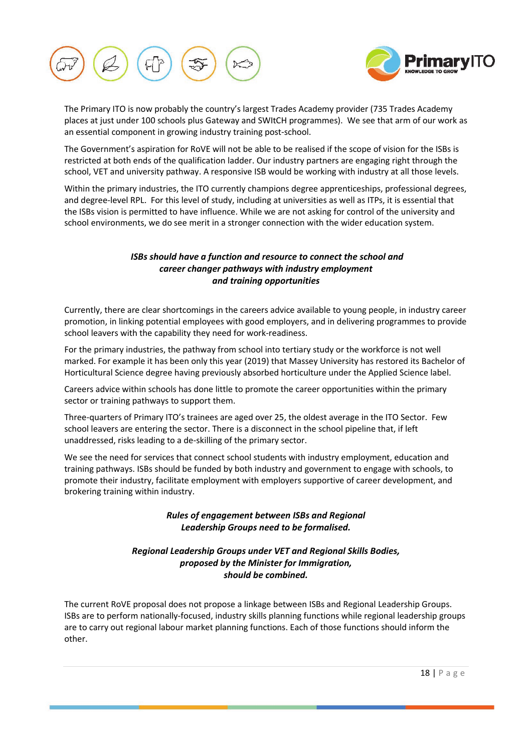



The Primary ITO is now probably the country's largest Trades Academy provider (735 Trades Academy places at just under 100 schools plus Gateway and SWItCH programmes). We see that arm of our work as an essential component in growing industry training post-school.

The Government's aspiration for RoVE will not be able to be realised if the scope of vision for the ISBs is restricted at both ends of the qualification ladder. Our industry partners are engaging right through the school, VET and university pathway. A responsive ISB would be working with industry at all those levels.

Within the primary industries, the ITO currently champions degree apprenticeships, professional degrees, and degree-level RPL. For this level of study, including at universities as well as ITPs, it is essential that the ISBs vision is permitted to have influence. While we are not asking for control of the university and school environments, we do see merit in a stronger connection with the wider education system.

## *ISBs should have a function and resource to connect the school and career changer pathways with industry employment and training opportunities*

Currently, there are clear shortcomings in the careers advice available to young people, in industry career promotion, in linking potential employees with good employers, and in delivering programmes to provide school leavers with the capability they need for work-readiness.

For the primary industries, the pathway from school into tertiary study or the workforce is not well marked. For example it has been only this year (2019) that Massey University has restored its Bachelor of Horticultural Science degree having previously absorbed horticulture under the Applied Science label.

Careers advice within schools has done little to promote the career opportunities within the primary sector or training pathways to support them.

Three-quarters of Primary ITO's trainees are aged over 25, the oldest average in the ITO Sector. Few school leavers are entering the sector. There is a disconnect in the school pipeline that, if left unaddressed, risks leading to a de-skilling of the primary sector.

We see the need for services that connect school students with industry employment, education and training pathways. ISBs should be funded by both industry and government to engage with schools, to promote their industry, facilitate employment with employers supportive of career development, and brokering training within industry.

## *Rules of engagement between ISBs and Regional Leadership Groups need to be formalised.*

## *Regional Leadership Groups under VET and Regional Skills Bodies, proposed by the Minister for Immigration, should be combined.*

The current RoVE proposal does not propose a linkage between ISBs and Regional Leadership Groups. ISBs are to perform nationally-focused, industry skills planning functions while regional leadership groups are to carry out regional labour market planning functions. Each of those functions should inform the other.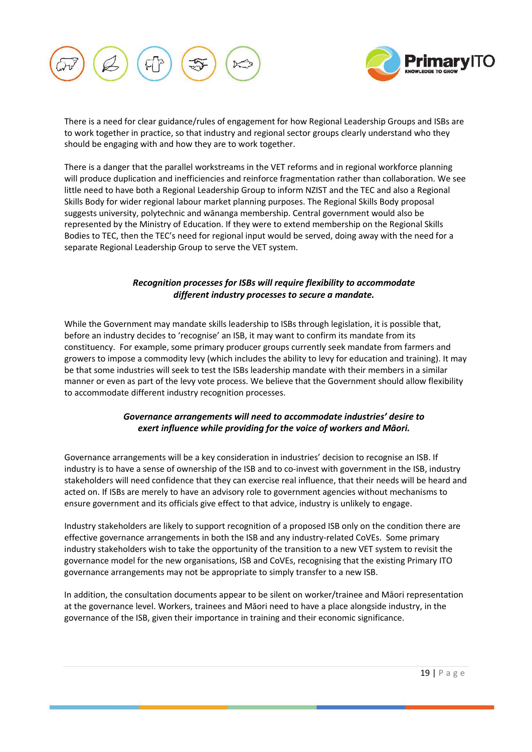



There is a need for clear guidance/rules of engagement for how Regional Leadership Groups and ISBs are to work together in practice, so that industry and regional sector groups clearly understand who they should be engaging with and how they are to work together.

There is a danger that the parallel workstreams in the VET reforms and in regional workforce planning will produce duplication and inefficiencies and reinforce fragmentation rather than collaboration. We see little need to have both a Regional Leadership Group to inform NZIST and the TEC and also a Regional Skills Body for wider regional labour market planning purposes. The Regional Skills Body proposal suggests university, polytechnic and wānanga membership. Central government would also be represented by the Ministry of Education. If they were to extend membership on the Regional Skills Bodies to TEC, then the TEC's need for regional input would be served, doing away with the need for a separate Regional Leadership Group to serve the VET system.

## *Recognition processes for ISBs will require flexibility to accommodate different industry processes to secure a mandate.*

While the Government may mandate skills leadership to ISBs through legislation, it is possible that, before an industry decides to 'recognise' an ISB, it may want to confirm its mandate from its constituency. For example, some primary producer groups currently seek mandate from farmers and growers to impose a commodity levy (which includes the ability to levy for education and training). It may be that some industries will seek to test the ISBs leadership mandate with their members in a similar manner or even as part of the levy vote process. We believe that the Government should allow flexibility to accommodate different industry recognition processes.

## *Governance arrangements will need to accommodate industries' desire to exert influence while providing for the voice of workers and Māori.*

Governance arrangements will be a key consideration in industries' decision to recognise an ISB. If industry is to have a sense of ownership of the ISB and to co-invest with government in the ISB, industry stakeholders will need confidence that they can exercise real influence, that their needs will be heard and acted on. If ISBs are merely to have an advisory role to government agencies without mechanisms to ensure government and its officials give effect to that advice, industry is unlikely to engage.

Industry stakeholders are likely to support recognition of a proposed ISB only on the condition there are effective governance arrangements in both the ISB and any industry-related CoVEs. Some primary industry stakeholders wish to take the opportunity of the transition to a new VET system to revisit the governance model for the new organisations, ISB and CoVEs, recognising that the existing Primary ITO governance arrangements may not be appropriate to simply transfer to a new ISB.

In addition, the consultation documents appear to be silent on worker/trainee and Māori representation at the governance level. Workers, trainees and Māori need to have a place alongside industry, in the governance of the ISB, given their importance in training and their economic significance.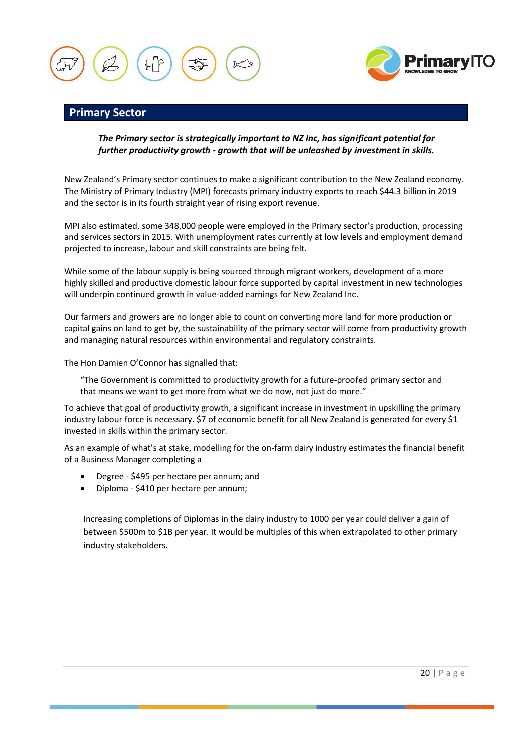



## **Primary Sector**

## *The Primary sector is strategically important to NZ Inc, has significant potential for further productivity growth - growth that will be unleashed by investment in skills.*

New Zealand's Primary sector continues to make a significant contribution to the New Zealand economy. The Ministry of Primary Industry (MPI) forecasts primary industry exports to reach \$44.3 billion in 2019 and the sector is in its fourth straight year of rising export revenue.

MPI also estimated, some 348,000 people were employed in the Primary sector's production, processing and services sectors in 2015. With unemployment rates currently at low levels and employment demand projected to increase, labour and skill constraints are being felt.

While some of the labour supply is being sourced through migrant workers, development of a more highly skilled and productive domestic labour force supported by capital investment in new technologies will underpin continued growth in value-added earnings for New Zealand Inc.

Our farmers and growers are no longer able to count on converting more land for more production or capital gains on land to get by, the sustainability of the primary sector will come from productivity growth and managing natural resources within environmental and regulatory constraints.

The Hon Damien O'Connor has signalled that:

"The Government is committed to productivity growth for a future-proofed primary sector and that means we want to get more from what we do now, not just do more."

To achieve that goal of productivity growth, a significant increase in investment in upskilling the primary industry labour force is necessary. \$7 of economic benefit for all New Zealand is generated for every \$1 invested in skills within the primary sector.

As an example of what's at stake, modelling for the on-farm dairy industry estimates the financial benefit of a Business Manager completing a

- Degree \$495 per hectare per annum; and
- Diploma \$410 per hectare per annum;

Increasing completions of Diplomas in the dairy industry to 1000 per year could deliver a gain of between \$500m to \$1B per year. It would be multiples of this when extrapolated to other primary industry stakeholders.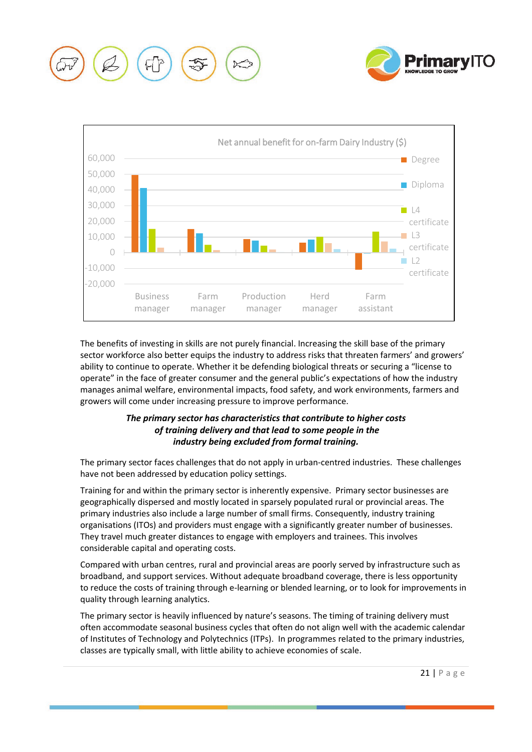





The benefits of investing in skills are not purely financial. Increasing the skill base of the primary sector workforce also better equips the industry to address risks that threaten farmers' and growers' ability to continue to operate. Whether it be defending biological threats or securing a "license to operate" in the face of greater consumer and the general public's expectations of how the industry manages animal welfare, environmental impacts, food safety, and work environments, farmers and growers will come under increasing pressure to improve performance.

## *The primary sector has characteristics that contribute to higher costs of training delivery and that lead to some people in the industry being excluded from formal training.*

The primary sector faces challenges that do not apply in urban-centred industries. These challenges have not been addressed by education policy settings.

Training for and within the primary sector is inherently expensive. Primary sector businesses are geographically dispersed and mostly located in sparsely populated rural or provincial areas. The primary industries also include a large number of small firms. Consequently, industry training organisations (ITOs) and providers must engage with a significantly greater number of businesses. They travel much greater distances to engage with employers and trainees. This involves considerable capital and operating costs.

Compared with urban centres, rural and provincial areas are poorly served by infrastructure such as broadband, and support services. Without adequate broadband coverage, there is less opportunity to reduce the costs of training through e-learning or blended learning, or to look for improvements in quality through learning analytics.

The primary sector is heavily influenced by nature's seasons. The timing of training delivery must often accommodate seasonal business cycles that often do not align well with the academic calendar of Institutes of Technology and Polytechnics (ITPs). In programmes related to the primary industries, classes are typically small, with little ability to achieve economies of scale.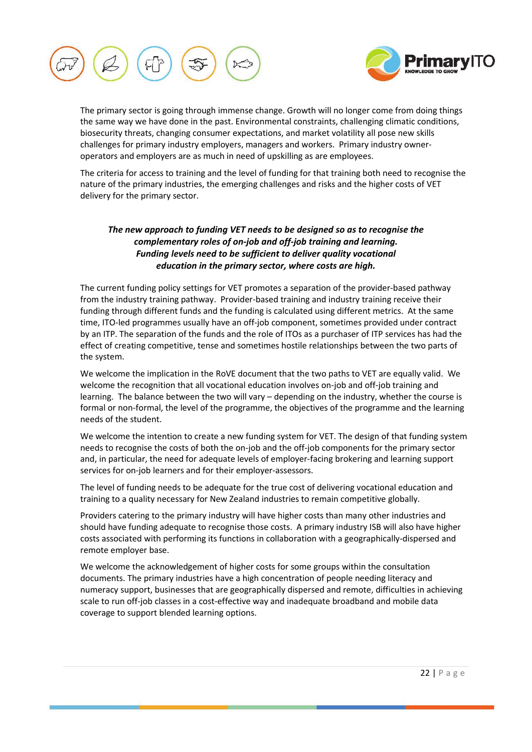



The primary sector is going through immense change. Growth will no longer come from doing things the same way we have done in the past. Environmental constraints, challenging climatic conditions, biosecurity threats, changing consumer expectations, and market volatility all pose new skills challenges for primary industry employers, managers and workers. Primary industry owneroperators and employers are as much in need of upskilling as are employees.

The criteria for access to training and the level of funding for that training both need to recognise the nature of the primary industries, the emerging challenges and risks and the higher costs of VET delivery for the primary sector.

## *The new approach to funding VET needs to be designed so as to recognise the complementary roles of on-job and off-job training and learning. Funding levels need to be sufficient to deliver quality vocational education in the primary sector, where costs are high.*

The current funding policy settings for VET promotes a separation of the provider-based pathway from the industry training pathway. Provider-based training and industry training receive their funding through different funds and the funding is calculated using different metrics. At the same time, ITO-led programmes usually have an off-job component, sometimes provided under contract by an ITP. The separation of the funds and the role of ITOs as a purchaser of ITP services has had the effect of creating competitive, tense and sometimes hostile relationships between the two parts of the system.

We welcome the implication in the RoVE document that the two paths to VET are equally valid. We welcome the recognition that all vocational education involves on-job and off-job training and learning. The balance between the two will vary – depending on the industry, whether the course is formal or non-formal, the level of the programme, the objectives of the programme and the learning needs of the student.

We welcome the intention to create a new funding system for VET. The design of that funding system needs to recognise the costs of both the on-job and the off-job components for the primary sector and, in particular, the need for adequate levels of employer-facing brokering and learning support services for on-job learners and for their employer-assessors.

The level of funding needs to be adequate for the true cost of delivering vocational education and training to a quality necessary for New Zealand industries to remain competitive globally.

Providers catering to the primary industry will have higher costs than many other industries and should have funding adequate to recognise those costs. A primary industry ISB will also have higher costs associated with performing its functions in collaboration with a geographically-dispersed and remote employer base.

We welcome the acknowledgement of higher costs for some groups within the consultation documents. The primary industries have a high concentration of people needing literacy and numeracy support, businesses that are geographically dispersed and remote, difficulties in achieving scale to run off-job classes in a cost-effective way and inadequate broadband and mobile data coverage to support blended learning options.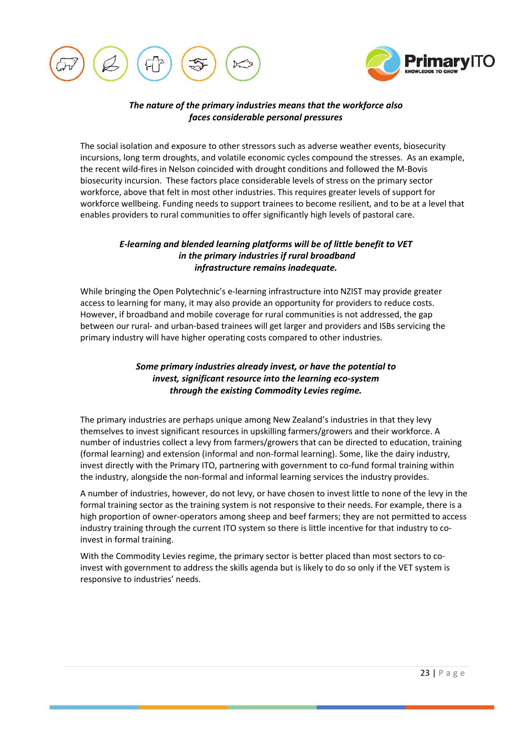



## *The nature of the primary industries means that the workforce also faces considerable personal pressures*

The social isolation and exposure to other stressors such as adverse weather events, biosecurity incursions, long term droughts, and volatile economic cycles compound the stresses. As an example, the recent wild-fires in Nelson coincided with drought conditions and followed the M-Bovis biosecurity incursion. These factors place considerable levels of stress on the primary sector workforce, above that felt in most other industries. This requires greater levels of support for workforce wellbeing. Funding needs to support trainees to become resilient, and to be at a level that enables providers to rural communities to offer significantly high levels of pastoral care.

## *E-learning and blended learning platforms will be of little benefit to VET in the primary industries if rural broadband infrastructure remains inadequate.*

While bringing the Open Polytechnic's e-learning infrastructure into NZIST may provide greater access to learning for many, it may also provide an opportunity for providers to reduce costs. However, if broadband and mobile coverage for rural communities is not addressed, the gap between our rural- and urban-based trainees will get larger and providers and ISBs servicing the primary industry will have higher operating costs compared to other industries.

## *Some primary industries already invest, or have the potential to invest, significant resource into the learning eco-system through the existing Commodity Levies regime.*

The primary industries are perhaps unique among New Zealand's industries in that they levy themselves to invest significant resources in upskilling farmers/growers and their workforce. A number of industries collect a levy from farmers/growers that can be directed to education, training (formal learning) and extension (informal and non-formal learning). Some, like the dairy industry, invest directly with the Primary ITO, partnering with government to co-fund formal training within the industry, alongside the non-formal and informal learning services the industry provides.

A number of industries, however, do not levy, or have chosen to invest little to none of the levy in the formal training sector as the training system is not responsive to their needs. For example, there is a high proportion of owner-operators among sheep and beef farmers; they are not permitted to access industry training through the current ITO system so there is little incentive for that industry to coinvest in formal training.

With the Commodity Levies regime, the primary sector is better placed than most sectors to coinvest with government to address the skills agenda but is likely to do so only if the VET system is responsive to industries' needs.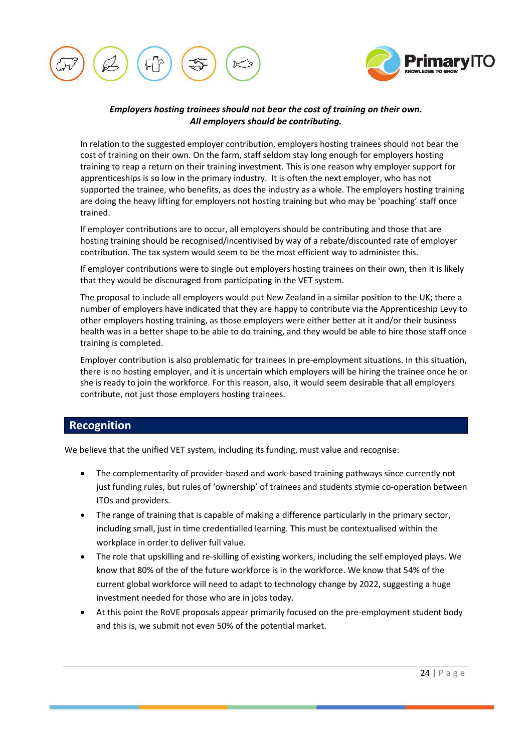



## *Employers hosting trainees should not bear the cost of training on their own. All employers should be contributing.*

In relation to the suggested employer contribution, employers hosting trainees should not bear the cost of training on their own. On the farm, staff seldom stay long enough for employers hosting training to reap a return on their training investment. This is one reason why employer support for apprenticeships is so low in the primary industry. It is often the next employer, who has not supported the trainee, who benefits, as does the industry as a whole. The employers hosting training are doing the heavy lifting for employers not hosting training but who may be 'poaching' staff once trained.

If employer contributions are to occur, all employers should be contributing and those that are hosting training should be recognised/incentivised by way of a rebate/discounted rate of employer contribution. The tax system would seem to be the most efficient way to administer this.

If employer contributions were to single out employers hosting trainees on their own, then it is likely that they would be discouraged from participating in the VET system.

The proposal to include all employers would put New Zealand in a similar position to the UK; there a number of employers have indicated that they are happy to contribute via the Apprenticeship Levy to other employers hosting training, as those employers were either better at it and/or their business health was in a better shape to be able to do training, and they would be able to hire those staff once training is completed.

Employer contribution is also problematic for trainees in pre-employment situations. In this situation, there is no hosting employer, and it is uncertain which employers will be hiring the trainee once he or she is ready to join the workforce. For this reason, also, it would seem desirable that all employers contribute, not just those employers hosting trainees.

# **Recognition**

We believe that the unified VET system, including its funding, must value and recognise:

- The complementarity of provider-based and work-based training pathways since currently not just funding rules, but rules of 'ownership' of trainees and students stymie co-operation between ITOs and providers.
- The range of training that is capable of making a difference particularly in the primary sector, including small, just in time credentialled learning. This must be contextualised within the workplace in order to deliver full value.
- The role that upskilling and re-skilling of existing workers, including the self employed plays. We know that 80% of the of the future workforce is in the workforce. We know that 54% of the current global workforce will need to adapt to technology change by 2022, suggesting a huge investment needed for those who are in jobs today.
- At this point the RoVE proposals appear primarily focused on the pre-employment student body and this is, we submit not even 50% of the potential market.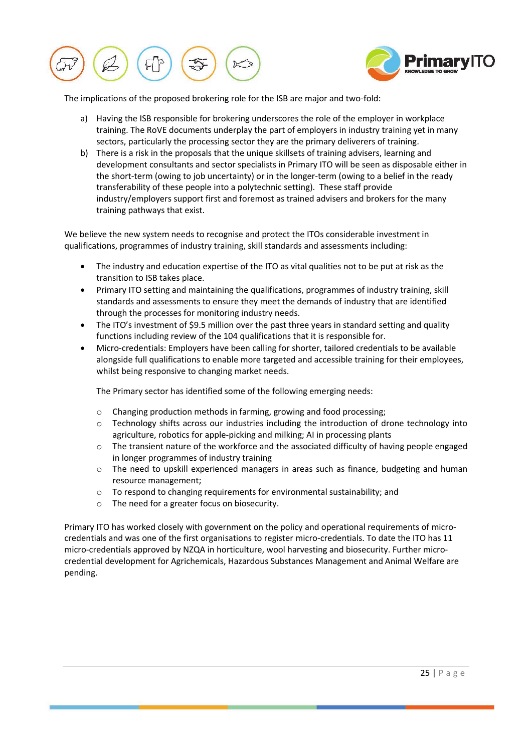



The implications of the proposed brokering role for the ISB are major and two-fold:

- a) Having the ISB responsible for brokering underscores the role of the employer in workplace training. The RoVE documents underplay the part of employers in industry training yet in many sectors, particularly the processing sector they are the primary deliverers of training.
- b) There is a risk in the proposals that the unique skillsets of training advisers, learning and development consultants and sector specialists in Primary ITO will be seen as disposable either in the short-term (owing to job uncertainty) or in the longer-term (owing to a belief in the ready transferability of these people into a polytechnic setting). These staff provide industry/employers support first and foremost as trained advisers and brokers for the many training pathways that exist.

We believe the new system needs to recognise and protect the ITOs considerable investment in qualifications, programmes of industry training, skill standards and assessments including:

- The industry and education expertise of the ITO as vital qualities not to be put at risk as the transition to ISB takes place.
- Primary ITO setting and maintaining the qualifications, programmes of industry training, skill standards and assessments to ensure they meet the demands of industry that are identified through the processes for monitoring industry needs.
- The ITO's investment of \$9.5 million over the past three years in standard setting and quality functions including review of the 104 qualifications that it is responsible for.
- Micro-credentials: Employers have been calling for shorter, tailored credentials to be available alongside full qualifications to enable more targeted and accessible training for their employees, whilst being responsive to changing market needs.

The Primary sector has identified some of the following emerging needs:

- o Changing production methods in farming, growing and food processing;
- o Technology shifts across our industries including the introduction of drone technology into agriculture, robotics for apple-picking and milking; AI in processing plants
- $\circ$  The transient nature of the workforce and the associated difficulty of having people engaged in longer programmes of industry training
- o The need to upskill experienced managers in areas such as finance, budgeting and human resource management;
- o To respond to changing requirements for environmental sustainability; and
- o The need for a greater focus on biosecurity.

Primary ITO has worked closely with government on the policy and operational requirements of microcredentials and was one of the first organisations to register micro-credentials. To date the ITO has 11 micro-credentials approved by NZQA in horticulture, wool harvesting and biosecurity. Further microcredential development for Agrichemicals, Hazardous Substances Management and Animal Welfare are pending.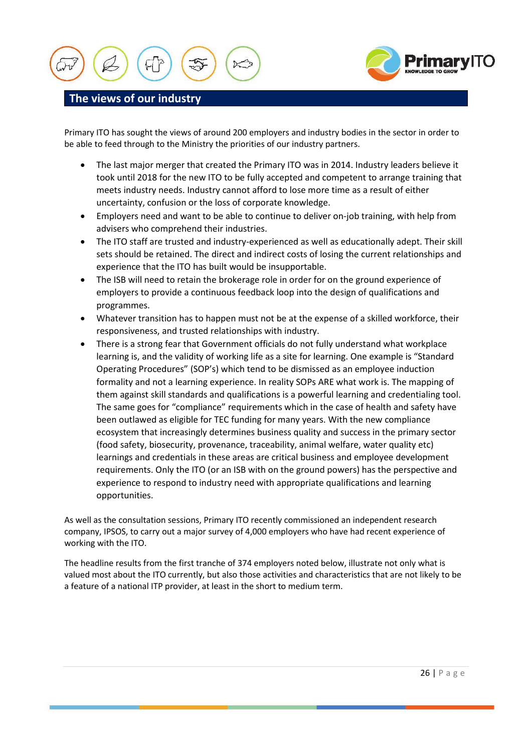



## **The views of our industry**

Primary ITO has sought the views of around 200 employers and industry bodies in the sector in order to be able to feed through to the Ministry the priorities of our industry partners.

- The last major merger that created the Primary ITO was in 2014. Industry leaders believe it took until 2018 for the new ITO to be fully accepted and competent to arrange training that meets industry needs. Industry cannot afford to lose more time as a result of either uncertainty, confusion or the loss of corporate knowledge.
- Employers need and want to be able to continue to deliver on-job training, with help from advisers who comprehend their industries.
- The ITO staff are trusted and industry-experienced as well as educationally adept. Their skill sets should be retained. The direct and indirect costs of losing the current relationships and experience that the ITO has built would be insupportable.
- The ISB will need to retain the brokerage role in order for on the ground experience of employers to provide a continuous feedback loop into the design of qualifications and programmes.
- Whatever transition has to happen must not be at the expense of a skilled workforce, their responsiveness, and trusted relationships with industry.
- There is a strong fear that Government officials do not fully understand what workplace learning is, and the validity of working life as a site for learning. One example is "Standard Operating Procedures" (SOP's) which tend to be dismissed as an employee induction formality and not a learning experience. In reality SOPs ARE what work is. The mapping of them against skill standards and qualifications is a powerful learning and credentialing tool. The same goes for "compliance" requirements which in the case of health and safety have been outlawed as eligible for TEC funding for many years. With the new compliance ecosystem that increasingly determines business quality and success in the primary sector (food safety, biosecurity, provenance, traceability, animal welfare, water quality etc) learnings and credentials in these areas are critical business and employee development requirements. Only the ITO (or an ISB with on the ground powers) has the perspective and experience to respond to industry need with appropriate qualifications and learning opportunities.

As well as the consultation sessions, Primary ITO recently commissioned an independent research company, IPSOS, to carry out a major survey of 4,000 employers who have had recent experience of working with the ITO.

The headline results from the first tranche of 374 employers noted below, illustrate not only what is valued most about the ITO currently, but also those activities and characteristics that are not likely to be a feature of a national ITP provider, at least in the short to medium term.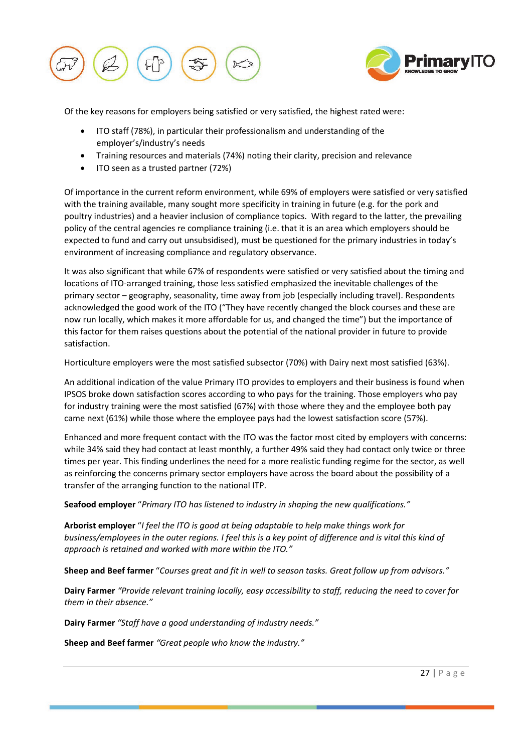



Of the key reasons for employers being satisfied or very satisfied, the highest rated were:

- ITO staff (78%), in particular their professionalism and understanding of the employer's/industry's needs
- Training resources and materials (74%) noting their clarity, precision and relevance
- ITO seen as a trusted partner (72%)

Of importance in the current reform environment, while 69% of employers were satisfied or very satisfied with the training available, many sought more specificity in training in future (e.g. for the pork and poultry industries) and a heavier inclusion of compliance topics. With regard to the latter, the prevailing policy of the central agencies re compliance training (i.e. that it is an area which employers should be expected to fund and carry out unsubsidised), must be questioned for the primary industries in today's environment of increasing compliance and regulatory observance.

It was also significant that while 67% of respondents were satisfied or very satisfied about the timing and locations of ITO-arranged training, those less satisfied emphasized the inevitable challenges of the primary sector – geography, seasonality, time away from job (especially including travel). Respondents acknowledged the good work of the ITO ("They have recently changed the block courses and these are now run locally, which makes it more affordable for us, and changed the time") but the importance of this factor for them raises questions about the potential of the national provider in future to provide satisfaction.

Horticulture employers were the most satisfied subsector (70%) with Dairy next most satisfied (63%).

An additional indication of the value Primary ITO provides to employers and their business is found when IPSOS broke down satisfaction scores according to who pays for the training. Those employers who pay for industry training were the most satisfied (67%) with those where they and the employee both pay came next (61%) while those where the employee pays had the lowest satisfaction score (57%).

Enhanced and more frequent contact with the ITO was the factor most cited by employers with concerns: while 34% said they had contact at least monthly, a further 49% said they had contact only twice or three times per year. This finding underlines the need for a more realistic funding regime for the sector, as well as reinforcing the concerns primary sector employers have across the board about the possibility of a transfer of the arranging function to the national ITP.

**Seafood employer** "*Primary ITO has listened to industry in shaping the new qualifications."*

**Arborist employer** "*I feel the ITO is good at being adaptable to help make things work for business/employees in the outer regions. I feel this is a key point of difference and is vital this kind of approach is retained and worked with more within the ITO."*

**Sheep and Beef farmer** "*Courses great and fit in well to season tasks. Great follow up from advisors."*

**Dairy Farmer** *"Provide relevant training locally, easy accessibility to staff, reducing the need to cover for them in their absence."*

**Dairy Farmer** *"Staff have a good understanding of industry needs."*

**Sheep and Beef farmer** *"Great people who know the industry."*